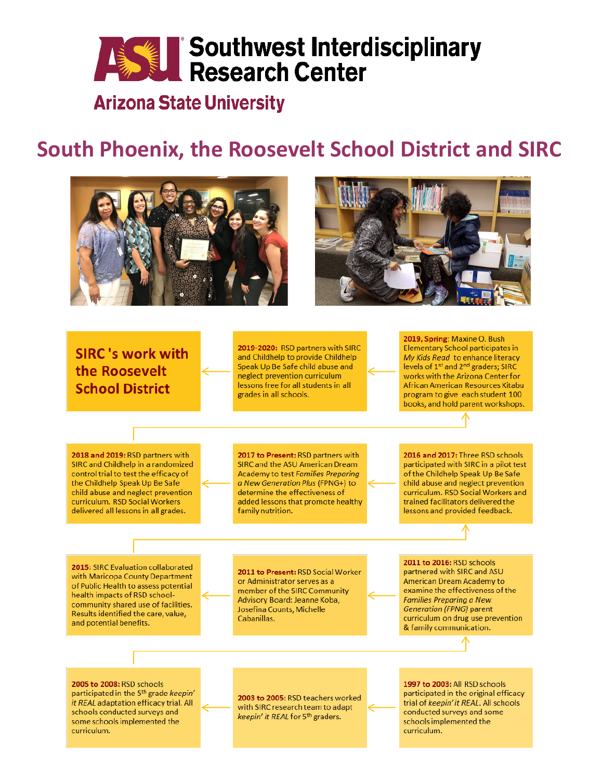# **ASSEE Southwest Interdisciplinary**<br>Research Center

## **Arizona State University**

## South Phoenix, the Roosevelt School District and SIRC





2019-2020: RSD partners with SIRC **SIRC**'s work with and Childhelp to provide Childhelp Speak Up Be Safe child abuse and the Roosevelt neglect prevention curriculum lessons free for all students in all **School District** grades in all schools. 2018 and 2019: RSD partners with 2017 to Present: RSD partners with SIRC and Childhelp in a randomized SIRC and the ASU American Dream control trial to test the efficacy of Academy to test Families Preparing the Childhelp Speak Up Be Safe a New Generation Plus (FPNG+) to child abuse and neglect prevention determine the effectiveness of curriculum. RSD Social Workers added lessons that promote healthy delivered all lessons in all grades. family nutrition. 2015: SIRC Evaluation collaborated 2011 to Present: RSD Social Worker with Maricopa County Department or Administrator serves as a

2016 and 2017: Three RSD schools participated with SIRC in a pilot test of the Childhelp Speak Up Be Safe child abuse and neglect prevention curriculum. RSD Social Workers and trained facilitators delivered the lessons and provided feedback.

2019, Spring: Maxine O. Bush

**Elementary School participates in** 

My Kids Read to enhance literacy

levels of 1<sup>st</sup> and 2<sup>nd</sup> graders; SIRC

works with the Arizona Center for

African American Resources Kitabu

program to give each student 100 books, and hold parent workshops.

of Public Health to assess potential health impacts of RSD schoolcommunity shared use of facilities. Results identified the care, value, and potential benefits.

member of the SIRC Community Advisory Board: Jeanne Koba, Josefina Counts, Michelle Cabanillas.

2011 to 2016: RSD schools partnered with SIRC and ASU American Dream Academy to examine the effectiveness of the **Families Preparing a New Generation (FPNG) parent** curriculum on drug use prevention & family communication.

2005 to 2008: RSD schools participated in the 5<sup>th</sup> grade keepin' it REAL adaptation efficacy trial. All schools conducted surveys and some schools implemented the curriculum.

2003 to 2005: RSD teachers worked with SIRC research team to adapt keepin' it REAL for 5th graders.

1997 to 2003: All RSD schools participated in the original efficacy trial of keepin' it REAL. All schools conducted surveys and some schools implemented the curriculum.